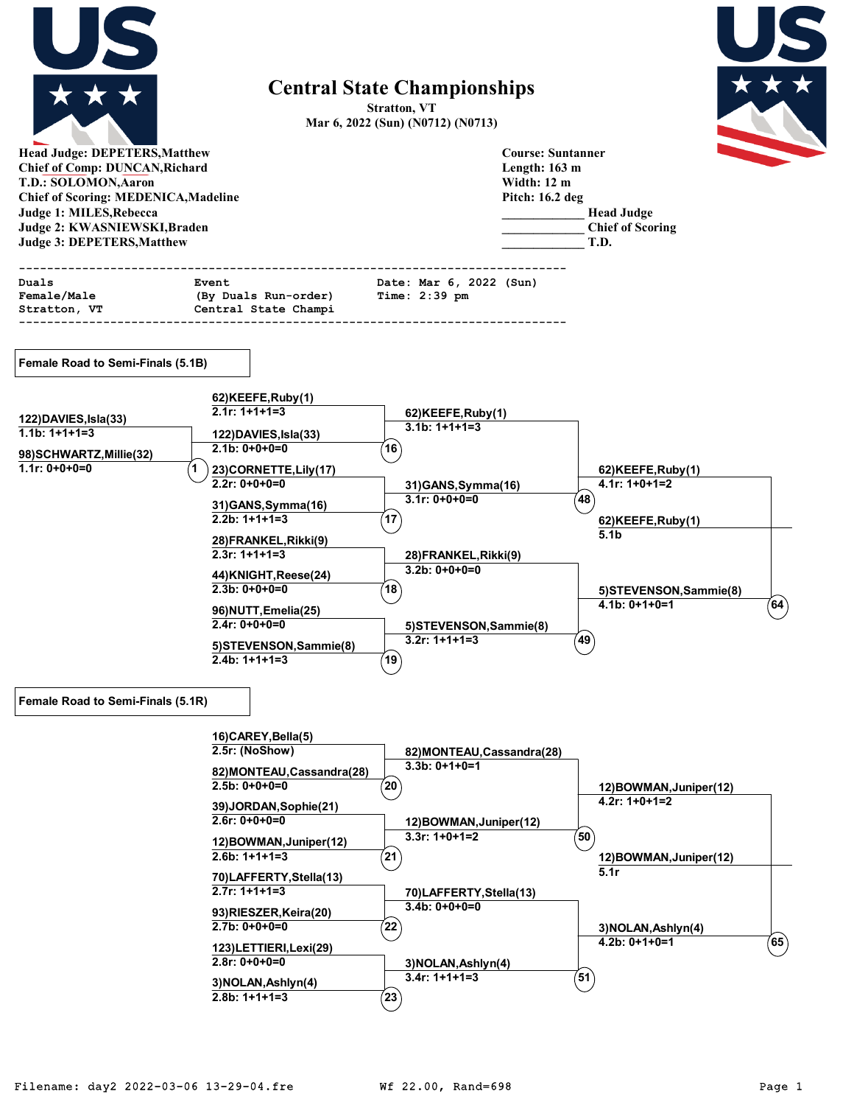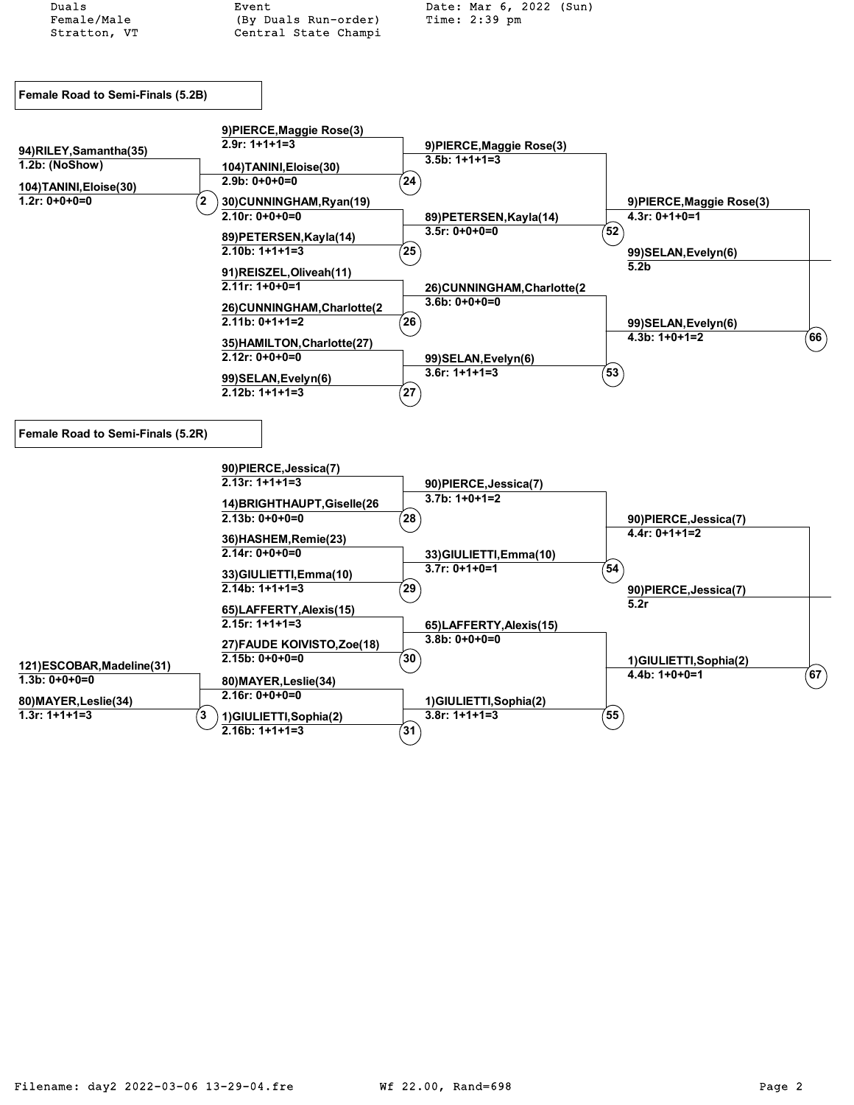| Duals                                    | Event                                           | Date: Mar 6, 2022 (Sun)                    |                                       |
|------------------------------------------|-------------------------------------------------|--------------------------------------------|---------------------------------------|
| Female/Male                              | (By Duals Run-order)                            | Time: $2:39$ pm                            |                                       |
| Stratton, VT                             | Central State Champi                            |                                            |                                       |
|                                          |                                                 |                                            |                                       |
|                                          |                                                 |                                            |                                       |
| Female Road to Semi-Finals (5.2B)        |                                                 |                                            |                                       |
|                                          |                                                 |                                            |                                       |
|                                          | 9) PIERCE, Maggie Rose(3)                       |                                            |                                       |
|                                          | $2.9r: 1+1+1=3$                                 | 9) PIERCE, Maggie Rose(3)                  |                                       |
| 94)RILEY, Samantha(35)<br>1.2b: (NoShow) |                                                 | $3.5b: 1+1+1=3$                            |                                       |
|                                          | 104) TANINI, Eloise(30)<br>$2.9b: 0+0+0=0$      | $24^{\circ}$                               |                                       |
| 104) TANINI, Eloise(30)                  |                                                 |                                            |                                       |
| $1.2r: 0+0+0=0$                          | 2<br>30) CUNNINGHAM, Ryan(19)                   |                                            | 9) PIERCE, Maggie Rose(3)             |
|                                          | $2.10r: 0+0+0=0$                                | 89) PETERSEN, Kayla (14)                   | $4.3r: 0+1+0=1$                       |
|                                          | 89) PETERSEN, Kayla (14)                        | $3.5r: 0+0+0=0$                            | $^{'}52$                              |
|                                          | $2.10b: 1+1+1=3$                                | 25                                         | 99) SELAN, Evelyn(6)                  |
|                                          | 91)REISZEL, Oliveah(11)                         |                                            | 5.2 <sub>b</sub>                      |
|                                          | $2.11r: 1+0+0=1$                                | 26)CUNNINGHAM, Charlotte(2                 |                                       |
|                                          | 26)CUNNINGHAM, Charlotte(2                      | $3.6b: 0+0+0=0$                            |                                       |
|                                          | $2.11b: 0+1+1=2$                                | $^{'}26$                                   | 99) SELAN, Evelyn(6)                  |
|                                          |                                                 |                                            | $^{'}$ 66 $)$<br>$4.3b: 1+0+1=2$      |
|                                          | 35) HAMILTON, Charlotte(27)<br>$2.12r: 0+0+0=0$ |                                            |                                       |
|                                          |                                                 | 99) SELAN, Evelyn(6)<br>$3.6r: 1+1+1=3$    | $\left(53\right)$                     |
|                                          | 99) SELAN, Evelyn(6)                            |                                            |                                       |
|                                          | $2.12b: 1+1+1=3$                                | $^{'}27$                                   |                                       |
|                                          |                                                 |                                            |                                       |
| Female Road to Semi-Finals (5.2R)        |                                                 |                                            |                                       |
|                                          |                                                 |                                            |                                       |
|                                          | 90)PIERCE, Jessica(7)                           |                                            |                                       |
|                                          | $2.13r: 1+1+1=3$                                | 90)PIERCE, Jessica(7)                      |                                       |
|                                          | 14) BRIGHTHAUPT, Giselle (26                    | $3.7b: 1+0+1=2$                            |                                       |
|                                          | $2.13b: 0+0+0=0$                                | $^{7}28$                                   | 90)PIERCE, Jessica(7)                 |
|                                          |                                                 |                                            | $4.4r: 0+1+1=2$                       |
|                                          | 36) HASHEM, Remie(23)<br>$2.14r: 0+0+0=0$       |                                            |                                       |
|                                          |                                                 | 33) GIULIETTI, Emma(10)<br>$3.7r: 0+1+0=1$ | (54)                                  |
|                                          | 33) GIULIETTI, Emma(10)                         |                                            |                                       |
|                                          | $2.14b: 1+1+1=3$                                | $^{'}29$                                   | 90)PIERCE, Jessica(7)                 |
|                                          | 65)LAFFERTY, Alexis (15)                        |                                            | 5.2r                                  |
|                                          | $2.15r: 1+1+1=3$                                | 65)LAFFERTY, Alexis(15)                    |                                       |
|                                          | 27) FAUDE KOIVISTO, Zoe(18)                     | $3.8b: 0+0+0=0$                            |                                       |
| 121)ESCOBAR, Madeline (31)               | $2.15b: 0+0+0=0$                                | $^{\prime}$ 30 $^{\prime}$                 | 1)GIULIETTI, Sophia(2)                |
| $1.3b: 0+0+0=0$                          | 80) MAYER, Leslie(34)                           |                                            | $\left( 67\right)$<br>$4.4b: 1+0+0=1$ |
|                                          | $2.16r: 0+0+0=0$                                |                                            |                                       |
| 80) MAYER, Leslie (34)                   |                                                 | 1)GIULIETTI, Sophia(2)                     |                                       |
| $1.3r: 1+1+1=3$                          | 3<br>1)GIULIETTI, Sophia(2)<br>$2.16b: 1+1+1=3$ | $3.8r: 1+1+1=3$                            | $\left(55\right)$                     |
|                                          |                                                 | $^{'}31$                                   |                                       |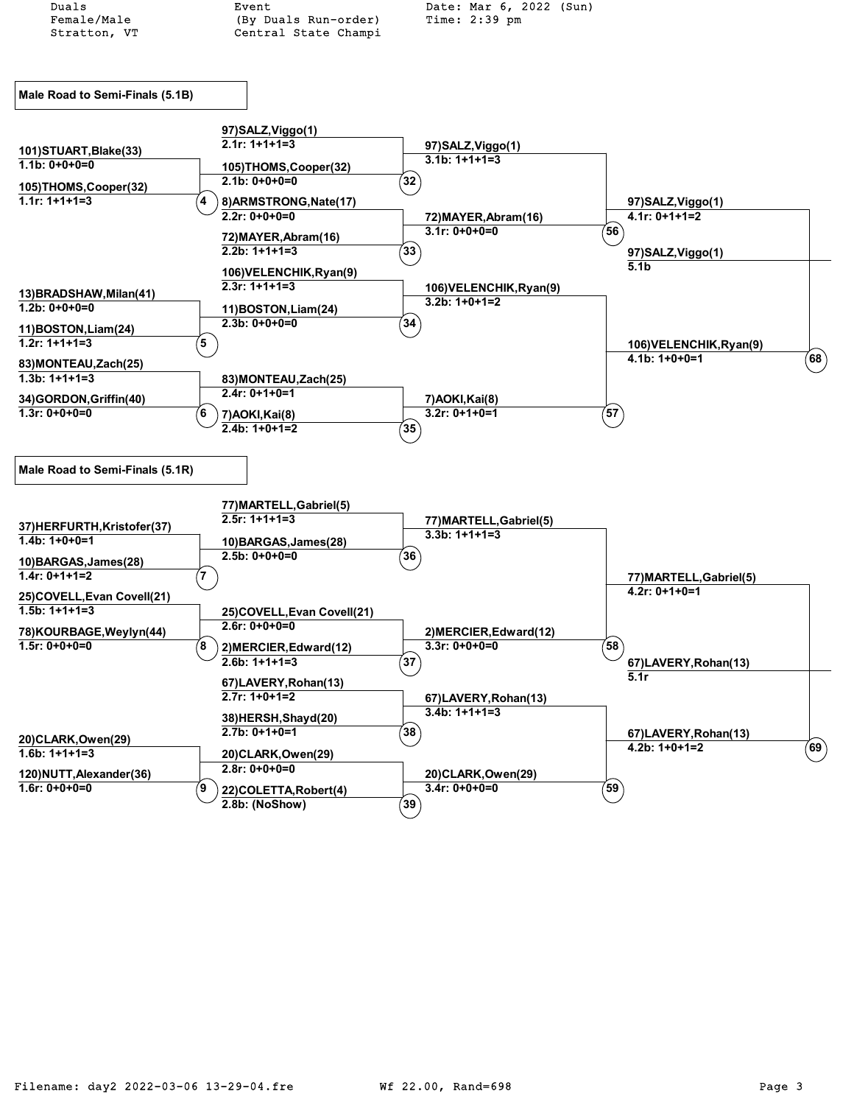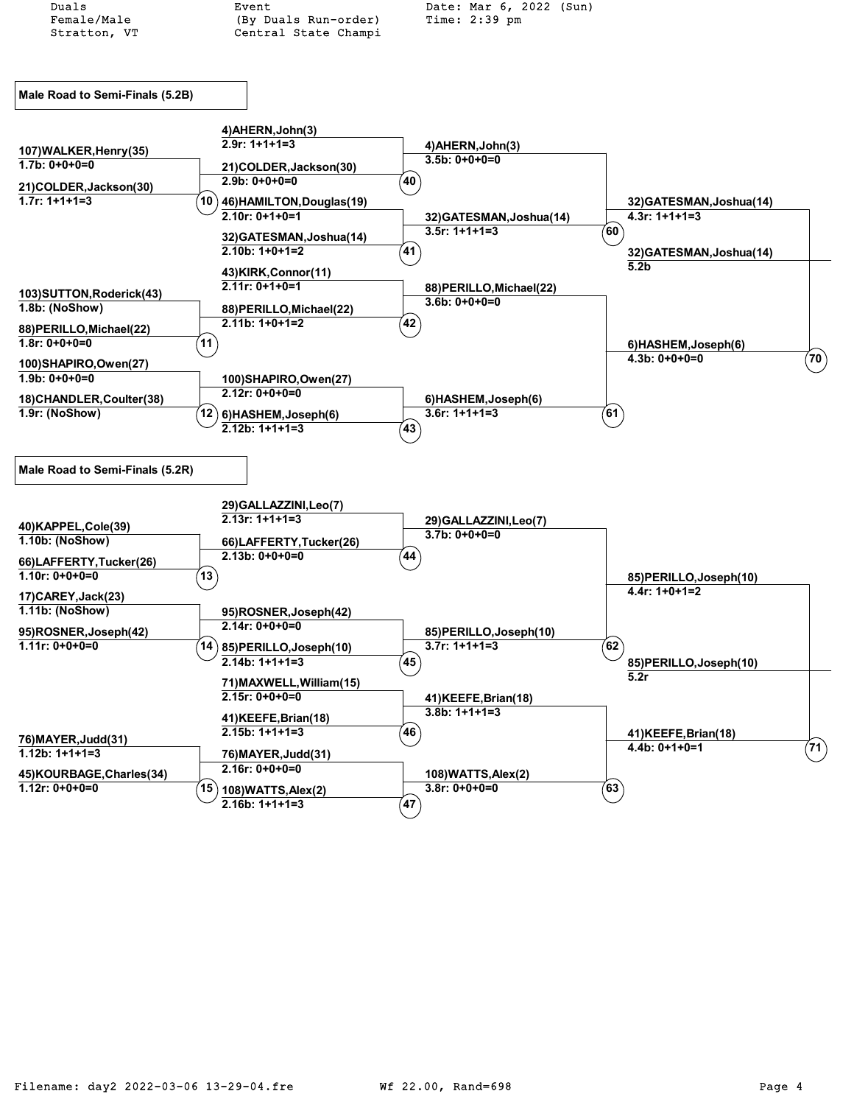Duals Event Date: Mar 6, 2022 (Sun) (By Duals Run-order) Stratton, VT Central State Champi **Male Road to Semi-Finals (5.2B) 4)AHERN,John(3) 2.9r: 1+1+1=3 4)AHERN,John(3) 3.5b: 0+0+0=0 107)WALKER,Henry(35) 1.7b: 0+0+0=0 21)COLDER,Jackson(30) 2.9b: 0+0+0=0 <sup>40</sup> 21)COLDER,Jackson(30) 1.7r: 1+1+1=3 10 32)GATESMAN,Joshua(14) 4.3r: 1+1+1=3 46)HAMILTON,Douglas(19) 2.10r: 0+1+0=1 32)GATESMAN,Joshua(14) 3.5r: 1+1+1=3 <sup>60</sup> 32)GATESMAN,Joshua(14) 2.10b: 1+0+1=2 41 32)GATESMAN,Joshua(14) 5.2b 43)KIRK,Connor(11) 2.11r: 0+1+0=1 88)PERILLO,Michael(22) 3.6b: 0+0+0=0 103)SUTTON,Roderick(43) 1.8b: (NoShow) 88)PERILLO,Michael(22) 2.11b: 1+0+1=2 <sup>42</sup> 88)PERILLO,Michael(22) 1.8r: 0+0+0=0 11 6)HASHEM,Joseph(6) 4.3b: 0+0+0=0 <sup>70</sup> 100)SHAPIRO,Owen(27) 1.9b: 0+0+0=0 100)SHAPIRO,Owen(27) 2.12r: 0+0+0=0 18)CHANDLER,Coulter(38) 1.9r: (NoShow) 6)HASHEM,Joseph(6) 6)HASHEM,Joseph(6) 3.6r: 1+1+1=3 61 2.12b: 1+1+1=3 43 Male Road to Semi-Finals (5.2R) 29)GALLAZZINI,Leo(7) 2.13r: 1+1+1=3 29)GALLAZZINI,Leo(7) 3.7b: 0+0+0=0 40)KAPPEL,Cole(39) 1.10b: (NoShow) 66)LAFFERTY,Tucker(26) 2.13b: 0+0+0=0 <sup>44</sup> 66)LAFFERTY,Tucker(26) 1.10r: 0+0+0=0 13 85)PERILLO,Joseph(10) 4.4r: 1+0+1=2 17)CAREY,Jack(23) 1.11b: (NoShow) 95)ROSNER,Joseph(42) 2.14r: 0+0+0=0 95)ROSNER,Joseph(42) 1.11r: 0+0+0=0 14 85)PERILLO,Joseph(10) 85)PERILLO,Joseph(10) 3.7r: 1+1+1=3 62 2.14b: 1+1+1=3 45 85)PERILLO,Joseph(10) 5.2r 71)MAXWELL,William(15)** 

**2.15r: 0+0+0=0 41)KEEFE,Brian(18) 3.8b: 1+1+1=3 41)KEEFE,Brian(18) 2.15b: 1+1+1=3 46 41)KEEFE,Brian(18) 4.4b: 0+1+0=1 71 76)MAYER,Judd(31) 1.12b: 1+1+1=3 76)MAYER,Judd(31) 2.16r: 0+0+0=0 45)KOURBAGE,Charles(34) 1.12r: 0+0+0=0 15 108)WATTS,Alex(2) 108)WATTS,Alex(2) 3.8r: 0+0+0=0 63 2.16b: 1+1+1=3**